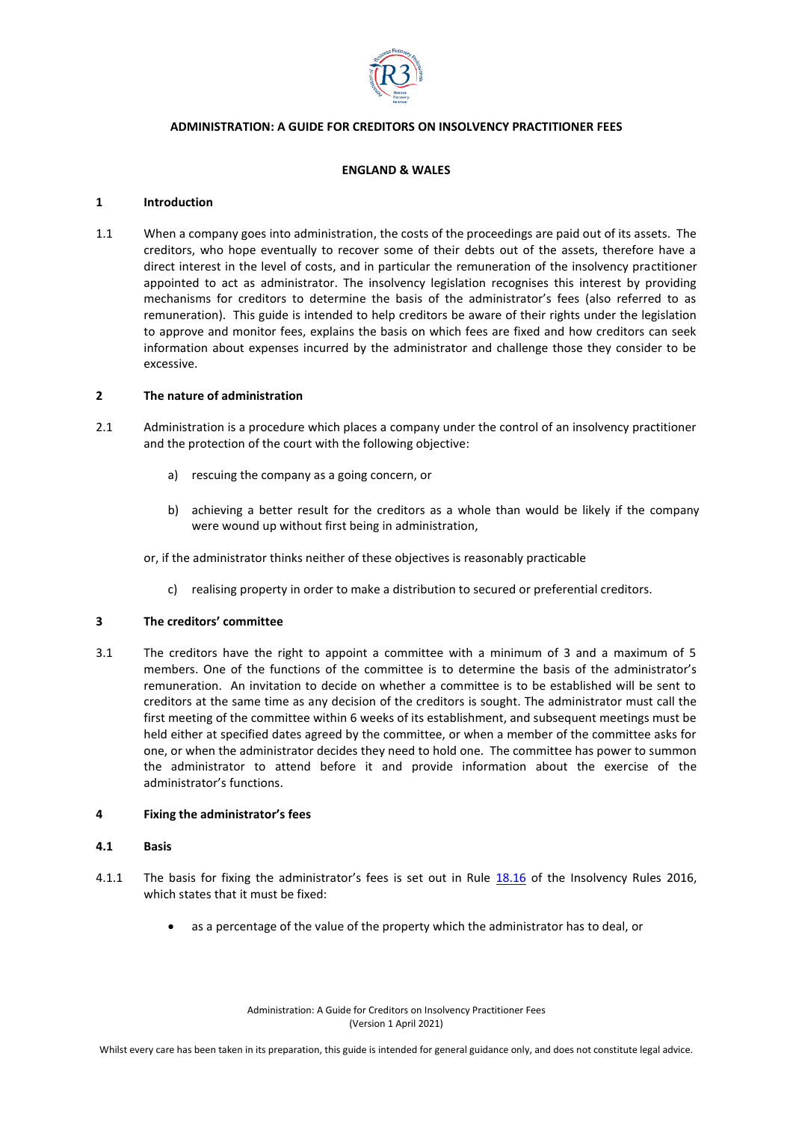

# **ADMINISTRATION: A GUIDE FOR CREDITORS ON INSOLVENCY PRACTITIONER FEES**

# **ENGLAND & WALES**

### **1 Introduction**

1.1 When a company goes into administration, the costs of the proceedings are paid out of its assets. The creditors, who hope eventually to recover some of their debts out of the assets, therefore have a direct interest in the level of costs, and in particular the remuneration of the insolvency practitioner appointed to act as administrator. The insolvency legislation recognises this interest by providing mechanisms for creditors to determine the basis of the administrator's fees (also referred to as remuneration). This guide is intended to help creditors be aware of their rights under the legislation to approve and monitor fees, explains the basis on which fees are fixed and how creditors can seek information about expenses incurred by the administrator and challenge those they consider to be excessive.

### **2 The nature of administration**

- 2.1 Administration is a procedure which places a company under the control of an insolvency practitioner and the protection of the court with the following objective:
	- a) rescuing the company as a going concern, or
	- b) achieving a better result for the creditors as a whole than would be likely if the company were wound up without first being in administration,

or, if the administrator thinks neither of these objectives is reasonably practicable

c) realising property in order to make a distribution to secured or preferential creditors.

# **3 The creditors' committee**

3.1 The creditors have the right to appoint a committee with a minimum of 3 and a maximum of 5 members. One of the functions of the committee is to determine the basis of the administrator's remuneration. An invitation to decide on whether a committee is to be established will be sent to creditors at the same time as any decision of the creditors is sought. The administrator must call the first meeting of the committee within 6 weeks of its establishment, and subsequent meetings must be held either at specified dates agreed by the committee, or when a member of the committee asks for one, or when the administrator decides they need to hold one. The committee has power to summon the administrator to attend before it and provide information about the exercise of the administrator's functions.

# **4 Fixing the administrator's fees**

#### **4.1 Basis**

- 4.1.1 The basis for fixing the administrator's fees is set out in Rule [18.16](https://www.legislation.gov.uk/uksi/2016/1024/article/18.16/made) of the Insolvency Rules 2016, which states that it must be fixed:
	- as a percentage of the value of the property which the administrator has to deal, or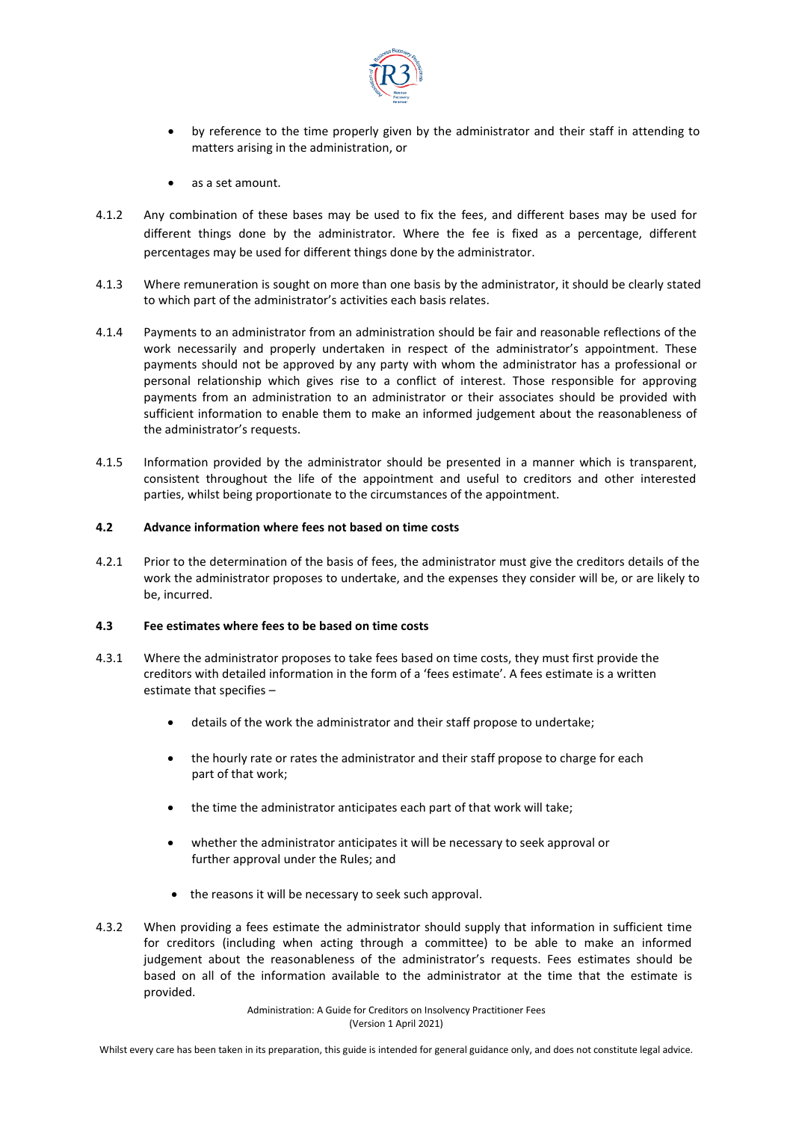

- by reference to the time properly given by the administrator and their staff in attending to matters arising in the administration, or
- as a set amount.
- 4.1.2 Any combination of these bases may be used to fix the fees, and different bases may be used for different things done by the administrator. Where the fee is fixed as a percentage, different percentages may be used for different things done by the administrator.
- 4.1.3 Where remuneration is sought on more than one basis by the administrator, it should be clearly stated to which part of the administrator's activities each basis relates.
- 4.1.4 Payments to an administrator from an administration should be fair and reasonable reflections of the work necessarily and properly undertaken in respect of the administrator's appointment. These payments should not be approved by any party with whom the administrator has a professional or personal relationship which gives rise to a conflict of interest. Those responsible for approving payments from an administration to an administrator or their associates should be provided with sufficient information to enable them to make an informed judgement about the reasonableness of the administrator's requests.
- 4.1.5 Information provided by the administrator should be presented in a manner which is transparent, consistent throughout the life of the appointment and useful to creditors and other interested parties, whilst being proportionate to the circumstances of the appointment.

### **4.2 Advance information where fees not based on time costs**

4.2.1 Prior to the determination of the basis of fees, the administrator must give the creditors details of the work the administrator proposes to undertake, and the expenses they consider will be, or are likely to be, incurred.

#### **4.3 Fee estimates where fees to be based on time costs**

- 4.3.1 Where the administrator proposes to take fees based on time costs, they must first provide the creditors with detailed information in the form of a 'fees estimate'. A fees estimate is a written estimate that specifies –
	- details of the work the administrator and their staff propose to undertake;
	- the hourly rate or rates the administrator and their staff propose to charge for each part of that work;
	- the time the administrator anticipates each part of that work will take;
	- whether the administrator anticipates it will be necessary to seek approval or further approval under the Rules; and
	- the reasons it will be necessary to seek such approval.
- 4.3.2 When providing a fees estimate the administrator should supply that information in sufficient time for creditors (including when acting through a committee) to be able to make an informed judgement about the reasonableness of the administrator's requests. Fees estimates should be based on all of the information available to the administrator at the time that the estimate is provided.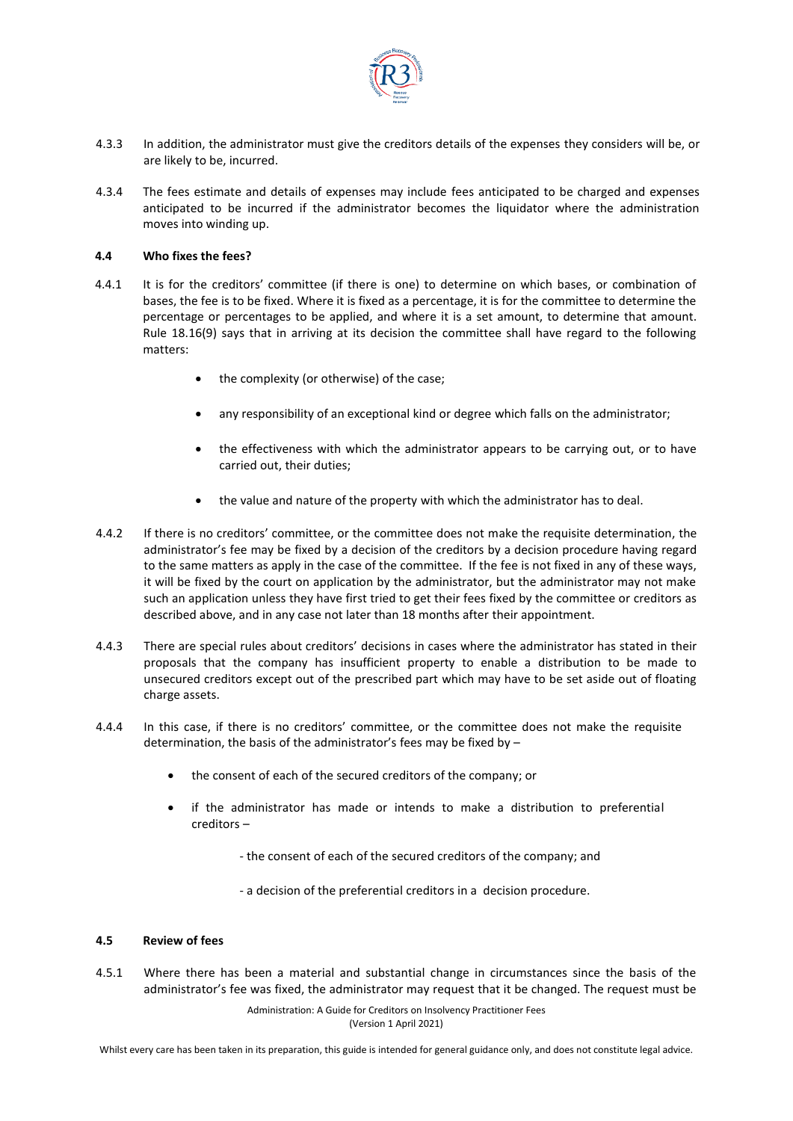

- 4.3.3 In addition, the administrator must give the creditors details of the expenses they considers will be, or are likely to be, incurred.
- 4.3.4 The fees estimate and details of expenses may include fees anticipated to be charged and expenses anticipated to be incurred if the administrator becomes the liquidator where the administration moves into winding up.

# **4.4 Who fixes the fees?**

- 4.4.1 It is for the creditors' committee (if there is one) to determine on which bases, or combination of bases, the fee is to be fixed. Where it is fixed as a percentage, it is for the committee to determine the percentage or percentages to be applied, and where it is a set amount, to determine that amount. Rule 18.16(9) says that in arriving at its decision the committee shall have regard to the following matters:
	- the complexity (or otherwise) of the case;
	- any responsibility of an exceptional kind or degree which falls on the administrator;
	- the effectiveness with which the administrator appears to be carrying out, or to have carried out, their duties;
	- the value and nature of the property with which the administrator has to deal.
- 4.4.2 If there is no creditors' committee, or the committee does not make the requisite determination, the administrator's fee may be fixed by a decision of the creditors by a decision procedure having regard to the same matters as apply in the case of the committee. If the fee is not fixed in any of these ways, it will be fixed by the court on application by the administrator, but the administrator may not make such an application unless they have first tried to get their fees fixed by the committee or creditors as described above, and in any case not later than 18 months after their appointment.
- 4.4.3 There are special rules about creditors' decisions in cases where the administrator has stated in their proposals that the company has insufficient property to enable a distribution to be made to unsecured creditors except out of the prescribed part which may have to be set aside out of floating charge assets.
- 4.4.4 In this case, if there is no creditors' committee, or the committee does not make the requisite determination, the basis of the administrator's fees may be fixed by –
	- the consent of each of the secured creditors of the company; or
	- if the administrator has made or intends to make a distribution to preferential creditors –
		- the consent of each of the secured creditors of the company; and
		- a decision of the preferential creditors in a decision procedure.

# **4.5 Review of fees**

4.5.1 Where there has been a material and substantial change in circumstances since the basis of the administrator's fee was fixed, the administrator may request that it be changed. The request must be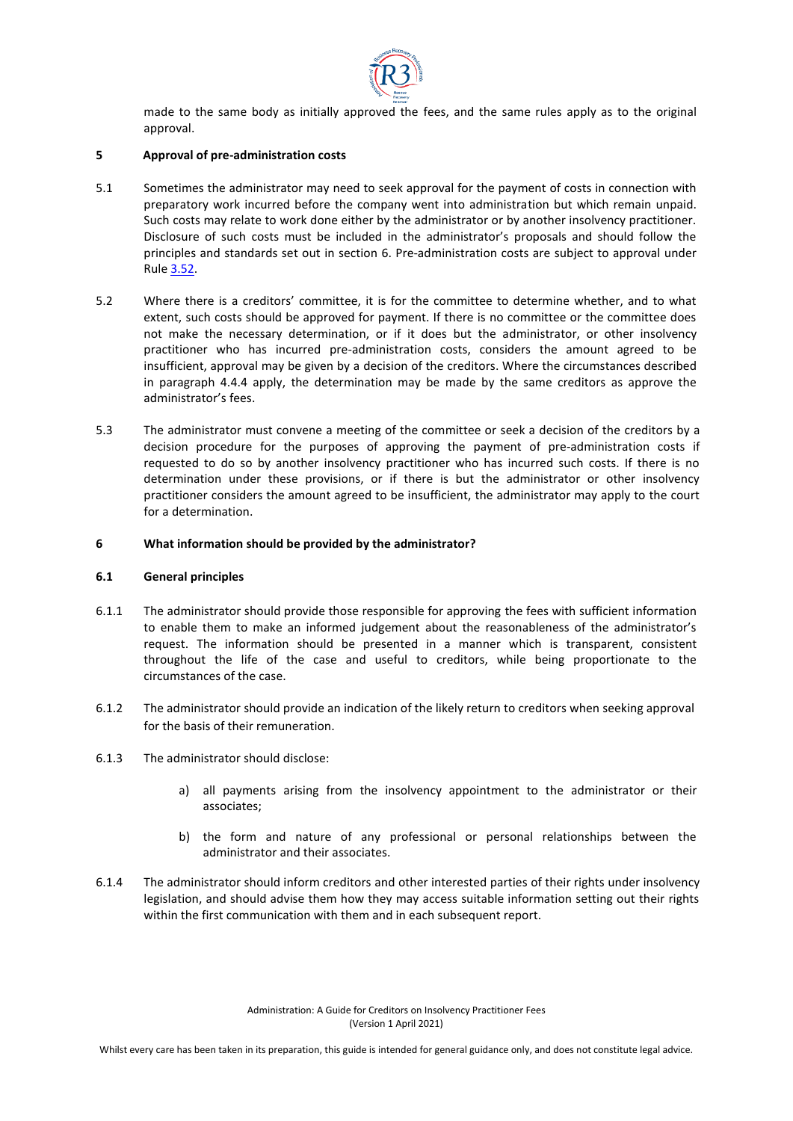

made to the same body as initially approved the fees, and the same rules apply as to the original approval.

# **5 Approval of pre-administration costs**

- 5.1 Sometimes the administrator may need to seek approval for the payment of costs in connection with preparatory work incurred before the company went into administration but which remain unpaid. Such costs may relate to work done either by the administrator or by another insolvency practitioner. Disclosure of such costs must be included in the administrator's proposals and should follow the principles and standards set out in section 6. Pre-administration costs are subject to approval under Rule [3.52.](https://www.legislation.gov.uk/uksi/2016/1024/article/3.52/made)
- 5.2 Where there is a creditors' committee, it is for the committee to determine whether, and to what extent, such costs should be approved for payment. If there is no committee or the committee does not make the necessary determination, or if it does but the administrator, or other insolvency practitioner who has incurred pre-administration costs, considers the amount agreed to be insufficient, approval may be given by a decision of the creditors. Where the circumstances described in paragraph 4.4.4 apply, the determination may be made by the same creditors as approve the administrator's fees.
- 5.3 The administrator must convene a meeting of the committee or seek a decision of the creditors by a decision procedure for the purposes of approving the payment of pre-administration costs if requested to do so by another insolvency practitioner who has incurred such costs. If there is no determination under these provisions, or if there is but the administrator or other insolvency practitioner considers the amount agreed to be insufficient, the administrator may apply to the court for a determination.

### **6 What information should be provided by the administrator?**

### **6.1 General principles**

- 6.1.1 The administrator should provide those responsible for approving the fees with sufficient information to enable them to make an informed judgement about the reasonableness of the administrator's request. The information should be presented in a manner which is transparent, consistent throughout the life of the case and useful to creditors, while being proportionate to the circumstances of the case.
- 6.1.2 The administrator should provide an indication of the likely return to creditors when seeking approval for the basis of their remuneration.
- 6.1.3 The administrator should disclose:
	- a) all payments arising from the insolvency appointment to the administrator or their associates;
	- b) the form and nature of any professional or personal relationships between the administrator and their associates.
- 6.1.4 The administrator should inform creditors and other interested parties of their rights under insolvency legislation, and should advise them how they may access suitable information setting out their rights within the first communication with them and in each subsequent report.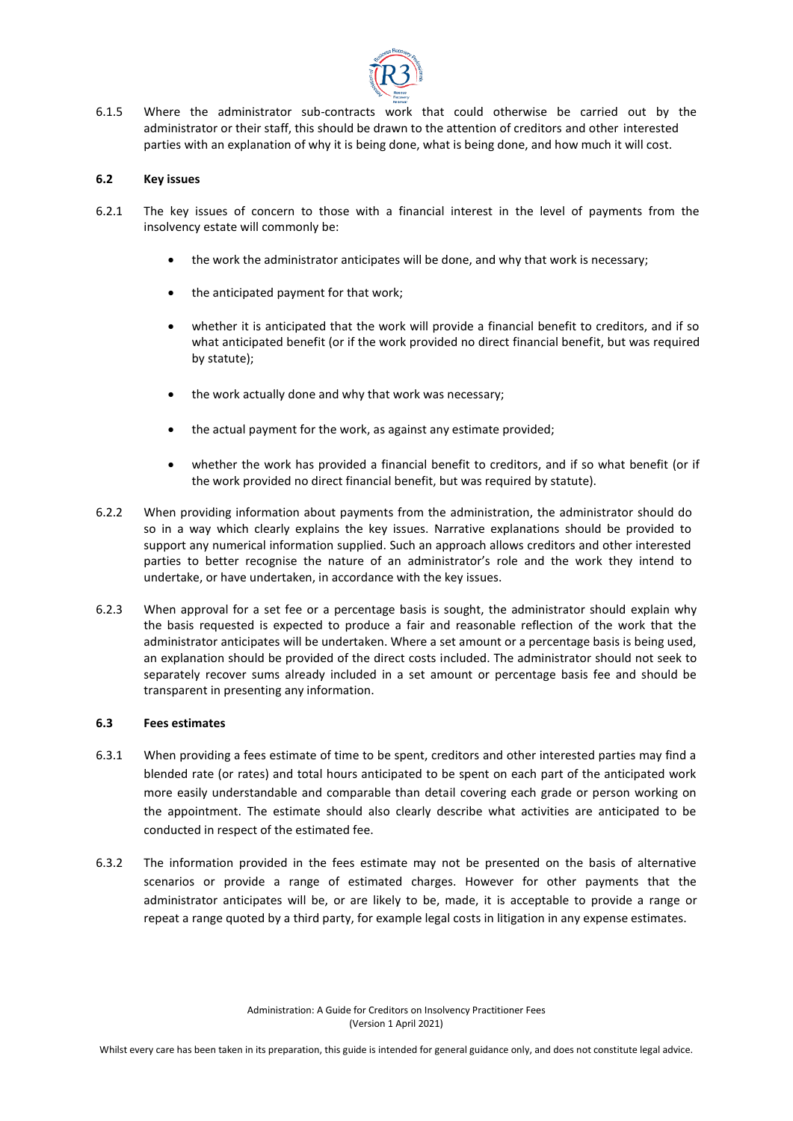

6.1.5 Where the administrator sub-contracts work that could otherwise be carried out by the administrator or their staff, this should be drawn to the attention of creditors and other interested parties with an explanation of why it is being done, what is being done, and how much it will cost.

### **6.2 Key issues**

- 6.2.1 The key issues of concern to those with a financial interest in the level of payments from the insolvency estate will commonly be:
	- the work the administrator anticipates will be done, and why that work is necessary;
	- the anticipated payment for that work;
	- whether it is anticipated that the work will provide a financial benefit to creditors, and if so what anticipated benefit (or if the work provided no direct financial benefit, but was required by statute);
	- the work actually done and why that work was necessary;
	- the actual payment for the work, as against any estimate provided;
	- whether the work has provided a financial benefit to creditors, and if so what benefit (or if the work provided no direct financial benefit, but was required by statute).
- 6.2.2 When providing information about payments from the administration, the administrator should do so in a way which clearly explains the key issues. Narrative explanations should be provided to support any numerical information supplied. Such an approach allows creditors and other interested parties to better recognise the nature of an administrator's role and the work they intend to undertake, or have undertaken, in accordance with the key issues.
- 6.2.3 When approval for a set fee or a percentage basis is sought, the administrator should explain why the basis requested is expected to produce a fair and reasonable reflection of the work that the administrator anticipates will be undertaken. Where a set amount or a percentage basis is being used, an explanation should be provided of the direct costs included. The administrator should not seek to separately recover sums already included in a set amount or percentage basis fee and should be transparent in presenting any information.

# **6.3 Fees estimates**

- 6.3.1 When providing a fees estimate of time to be spent, creditors and other interested parties may find a blended rate (or rates) and total hours anticipated to be spent on each part of the anticipated work more easily understandable and comparable than detail covering each grade or person working on the appointment. The estimate should also clearly describe what activities are anticipated to be conducted in respect of the estimated fee.
- 6.3.2 The information provided in the fees estimate may not be presented on the basis of alternative scenarios or provide a range of estimated charges. However for other payments that the administrator anticipates will be, or are likely to be, made, it is acceptable to provide a range or repeat a range quoted by a third party, for example legal costs in litigation in any expense estimates.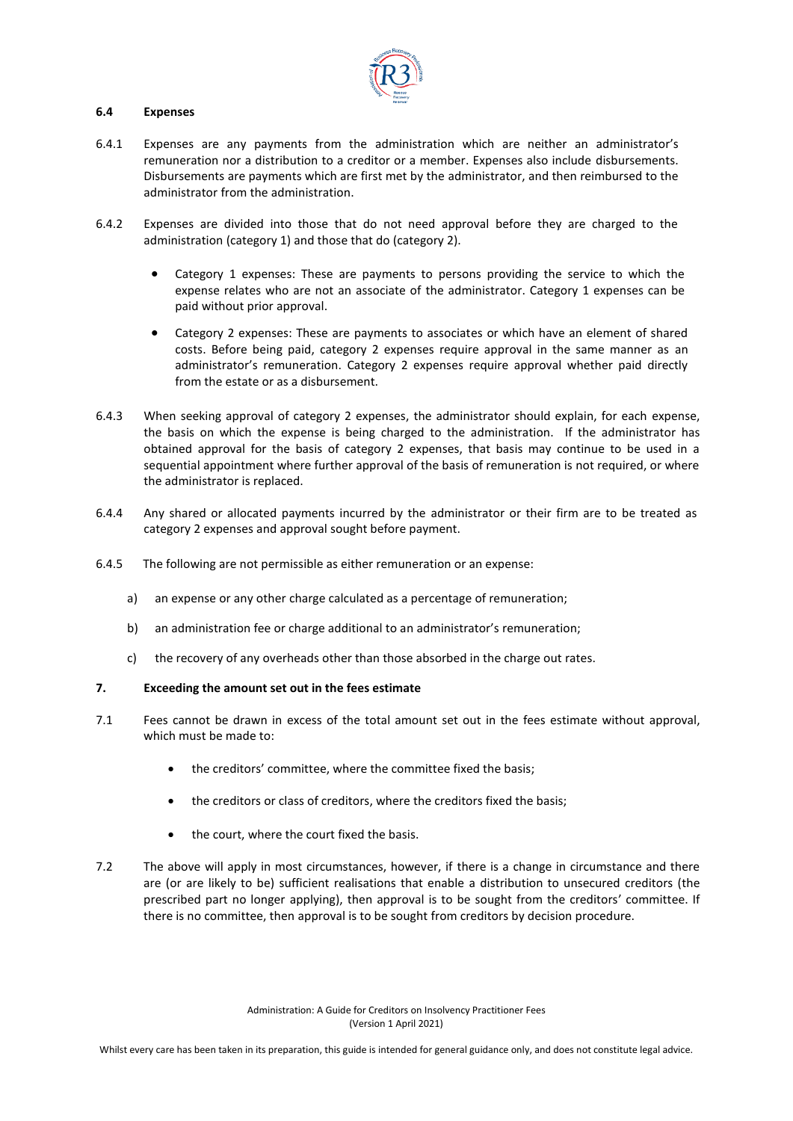

### **6.4 Expenses**

- 6.4.1 Expenses are any payments from the administration which are neither an administrator's remuneration nor a distribution to a creditor or a member. Expenses also include disbursements. Disbursements are payments which are first met by the administrator, and then reimbursed to the administrator from the administration.
- 6.4.2 Expenses are divided into those that do not need approval before they are charged to the administration (category 1) and those that do (category 2).
	- Category 1 expenses: These are payments to persons providing the service to which the expense relates who are not an associate of the administrator. Category 1 expenses can be paid without prior approval.
	- Category 2 expenses: These are payments to associates or which have an element of shared costs. Before being paid, category 2 expenses require approval in the same manner as an administrator's remuneration. Category 2 expenses require approval whether paid directly from the estate or as a disbursement.
- 6.4.3 When seeking approval of category 2 expenses, the administrator should explain, for each expense, the basis on which the expense is being charged to the administration. If the administrator has obtained approval for the basis of category 2 expenses, that basis may continue to be used in a sequential appointment where further approval of the basis of remuneration is not required, or where the administrator is replaced.
- 6.4.4 Any shared or allocated payments incurred by the administrator or their firm are to be treated as category 2 expenses and approval sought before payment.
- 6.4.5 The following are not permissible as either remuneration or an expense:
	- a) an expense or any other charge calculated as a percentage of remuneration;
	- b) an administration fee or charge additional to an administrator's remuneration;
	- c) the recovery of any overheads other than those absorbed in the charge out rates.

#### **7. Exceeding the amount set out in the fees estimate**

- 7.1 Fees cannot be drawn in excess of the total amount set out in the fees estimate without approval, which must be made to:
	- the creditors' committee, where the committee fixed the basis;
	- the creditors or class of creditors, where the creditors fixed the basis;
	- the court, where the court fixed the basis.
- 7.2 The above will apply in most circumstances, however, if there is a change in circumstance and there are (or are likely to be) sufficient realisations that enable a distribution to unsecured creditors (the prescribed part no longer applying), then approval is to be sought from the creditors' committee. If there is no committee, then approval is to be sought from creditors by decision procedure.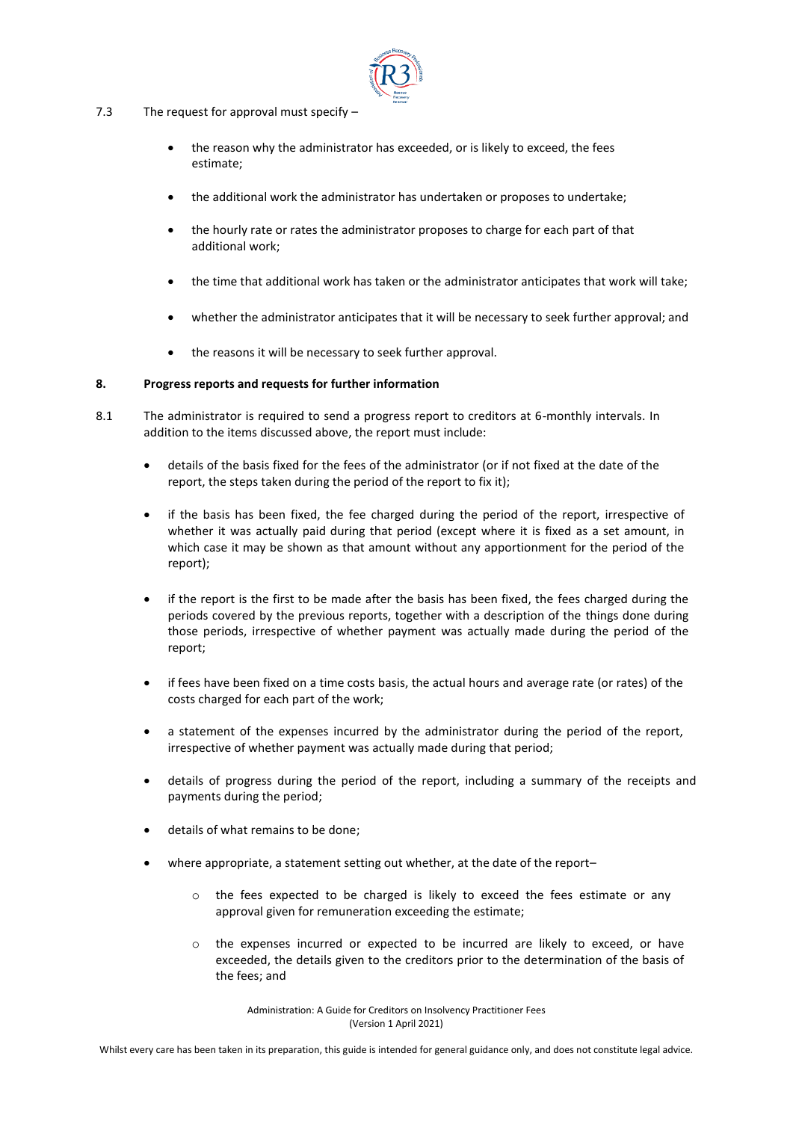

- 7.3 The request for approval must specify
	- the reason why the administrator has exceeded, or is likely to exceed, the fees estimate;
	- the additional work the administrator has undertaken or proposes to undertake;
	- the hourly rate or rates the administrator proposes to charge for each part of that additional work;
	- the time that additional work has taken or the administrator anticipates that work will take;
	- whether the administrator anticipates that it will be necessary to seek further approval; and
	- the reasons it will be necessary to seek further approval.

### **8. Progress reports and requests for further information**

- 8.1 The administrator is required to send a progress report to creditors at 6-monthly intervals. In addition to the items discussed above, the report must include:
	- details of the basis fixed for the fees of the administrator (or if not fixed at the date of the report, the steps taken during the period of the report to fix it);
	- if the basis has been fixed, the fee charged during the period of the report, irrespective of whether it was actually paid during that period (except where it is fixed as a set amount, in which case it may be shown as that amount without any apportionment for the period of the report);
	- if the report is the first to be made after the basis has been fixed, the fees charged during the periods covered by the previous reports, together with a description of the things done during those periods, irrespective of whether payment was actually made during the period of the report;
	- if fees have been fixed on a time costs basis, the actual hours and average rate (or rates) of the costs charged for each part of the work;
	- a statement of the expenses incurred by the administrator during the period of the report, irrespective of whether payment was actually made during that period;
	- details of progress during the period of the report, including a summary of the receipts and payments during the period;
	- details of what remains to be done;
	- where appropriate, a statement setting out whether, at the date of the report–
		- o the fees expected to be charged is likely to exceed the fees estimate or any approval given for remuneration exceeding the estimate;
		- o the expenses incurred or expected to be incurred are likely to exceed, or have exceeded, the details given to the creditors prior to the determination of the basis of the fees; and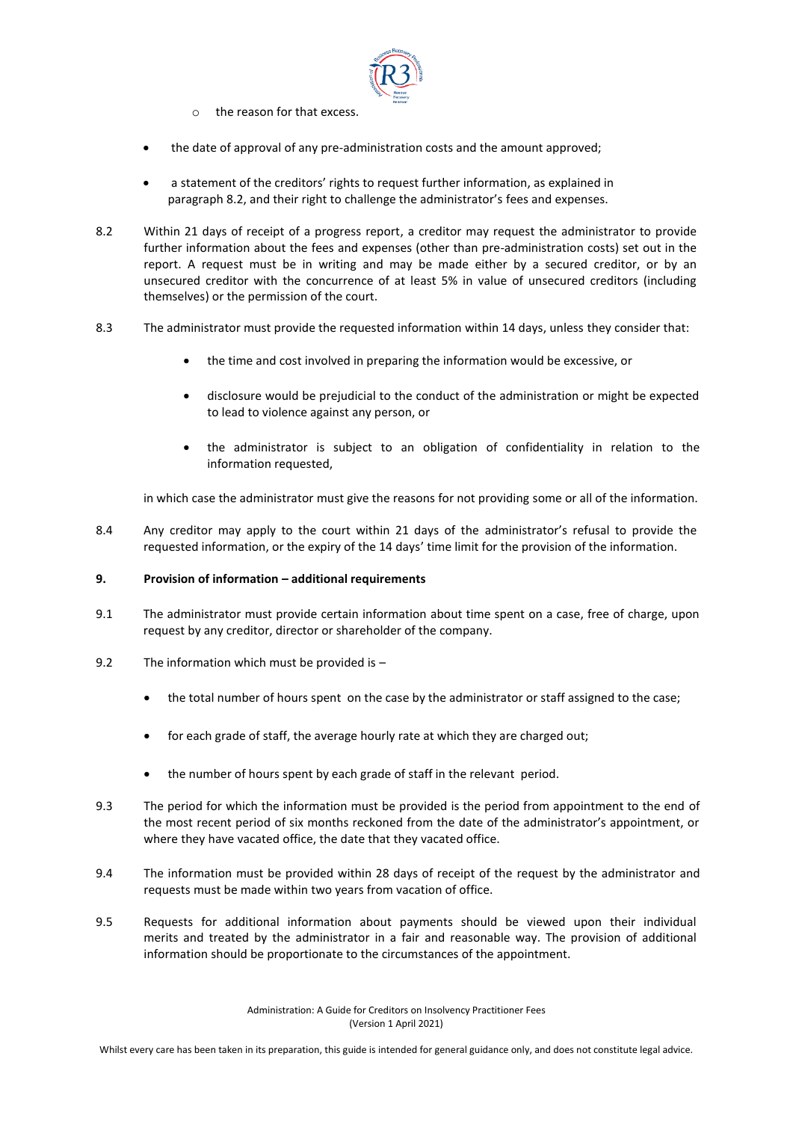

- o the reason for that excess.
- the date of approval of any pre-administration costs and the amount approved;
- a statement of the creditors' rights to request further information, as explained in paragraph 8.2, and their right to challenge the administrator's fees and expenses.
- 8.2 Within 21 days of receipt of a progress report, a creditor may request the administrator to provide further information about the fees and expenses (other than pre-administration costs) set out in the report. A request must be in writing and may be made either by a secured creditor, or by an unsecured creditor with the concurrence of at least 5% in value of unsecured creditors (including themselves) or the permission of the court.
- 8.3 The administrator must provide the requested information within 14 days, unless they consider that:
	- the time and cost involved in preparing the information would be excessive, or
	- disclosure would be prejudicial to the conduct of the administration or might be expected to lead to violence against any person, or
	- the administrator is subject to an obligation of confidentiality in relation to the information requested,

in which case the administrator must give the reasons for not providing some or all of the information.

8.4 Any creditor may apply to the court within 21 days of the administrator's refusal to provide the requested information, or the expiry of the 14 days' time limit for the provision of the information.

# **9. Provision of information – additional requirements**

- 9.1 The administrator must provide certain information about time spent on a case, free of charge, upon request by any creditor, director or shareholder of the company.
- 9.2 The information which must be provided is
	- the total number of hours spent on the case by the administrator or staff assigned to the case;
	- for each grade of staff, the average hourly rate at which they are charged out;
	- the number of hours spent by each grade of staff in the relevant period.
- 9.3 The period for which the information must be provided is the period from appointment to the end of the most recent period of six months reckoned from the date of the administrator's appointment, or where they have vacated office, the date that they vacated office.
- 9.4 The information must be provided within 28 days of receipt of the request by the administrator and requests must be made within two years from vacation of office.
- 9.5 Requests for additional information about payments should be viewed upon their individual merits and treated by the administrator in a fair and reasonable way. The provision of additional information should be proportionate to the circumstances of the appointment.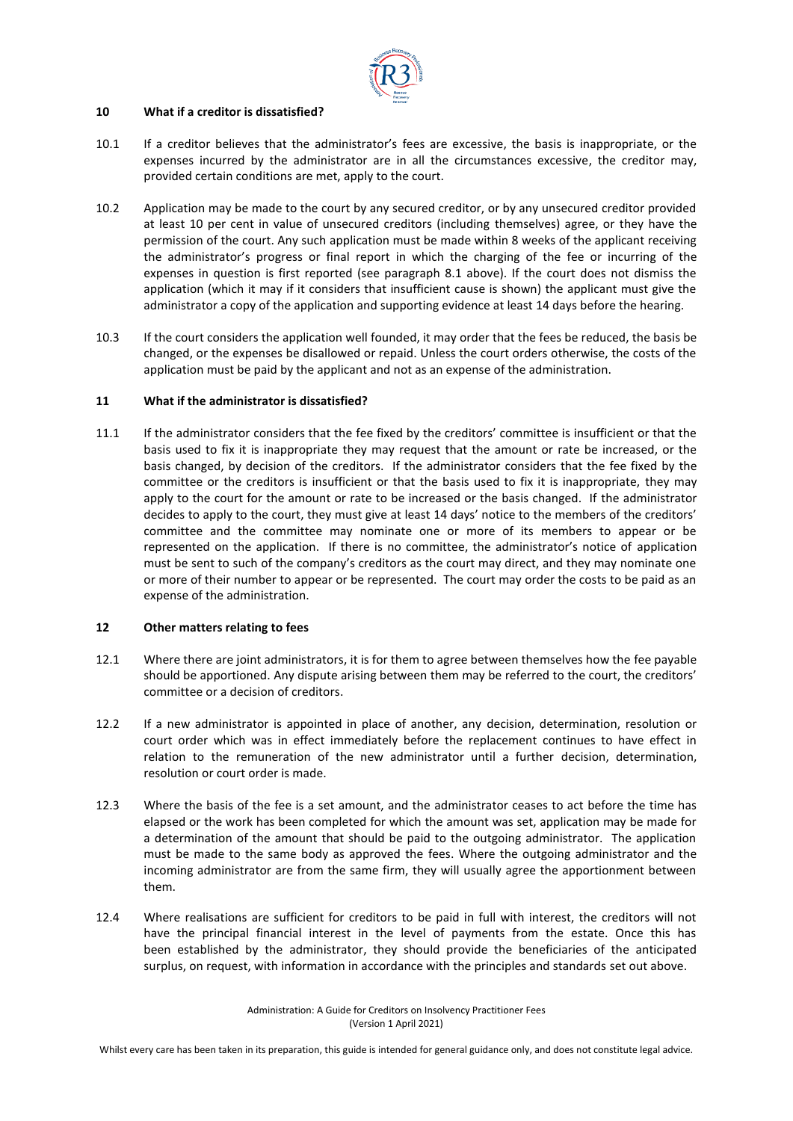

# **10 What if a creditor is dissatisfied?**

- 10.1 If a creditor believes that the administrator's fees are excessive, the basis is inappropriate, or the expenses incurred by the administrator are in all the circumstances excessive, the creditor may, provided certain conditions are met, apply to the court.
- 10.2 Application may be made to the court by any secured creditor, or by any unsecured creditor provided at least 10 per cent in value of unsecured creditors (including themselves) agree, or they have the permission of the court. Any such application must be made within 8 weeks of the applicant receiving the administrator's progress or final report in which the charging of the fee or incurring of the expenses in question is first reported (see paragraph 8.1 above). If the court does not dismiss the application (which it may if it considers that insufficient cause is shown) the applicant must give the administrator a copy of the application and supporting evidence at least 14 days before the hearing.
- 10.3 If the court considers the application well founded, it may order that the fees be reduced, the basis be changed, or the expenses be disallowed or repaid. Unless the court orders otherwise, the costs of the application must be paid by the applicant and not as an expense of the administration.

# **11 What if the administrator is dissatisfied?**

11.1 If the administrator considers that the fee fixed by the creditors' committee is insufficient or that the basis used to fix it is inappropriate they may request that the amount or rate be increased, or the basis changed, by decision of the creditors. If the administrator considers that the fee fixed by the committee or the creditors is insufficient or that the basis used to fix it is inappropriate, they may apply to the court for the amount or rate to be increased or the basis changed. If the administrator decides to apply to the court, they must give at least 14 days' notice to the members of the creditors' committee and the committee may nominate one or more of its members to appear or be represented on the application. If there is no committee, the administrator's notice of application must be sent to such of the company's creditors as the court may direct, and they may nominate one or more of their number to appear or be represented. The court may order the costs to be paid as an expense of the administration.

# **12 Other matters relating to fees**

- 12.1 Where there are joint administrators, it is for them to agree between themselves how the fee payable should be apportioned. Any dispute arising between them may be referred to the court, the creditors' committee or a decision of creditors.
- 12.2 If a new administrator is appointed in place of another, any decision, determination, resolution or court order which was in effect immediately before the replacement continues to have effect in relation to the remuneration of the new administrator until a further decision, determination, resolution or court order is made.
- 12.3 Where the basis of the fee is a set amount, and the administrator ceases to act before the time has elapsed or the work has been completed for which the amount was set, application may be made for a determination of the amount that should be paid to the outgoing administrator. The application must be made to the same body as approved the fees. Where the outgoing administrator and the incoming administrator are from the same firm, they will usually agree the apportionment between them.
- 12.4 Where realisations are sufficient for creditors to be paid in full with interest, the creditors will not have the principal financial interest in the level of payments from the estate. Once this has been established by the administrator, they should provide the beneficiaries of the anticipated surplus, on request, with information in accordance with the principles and standards set out above.